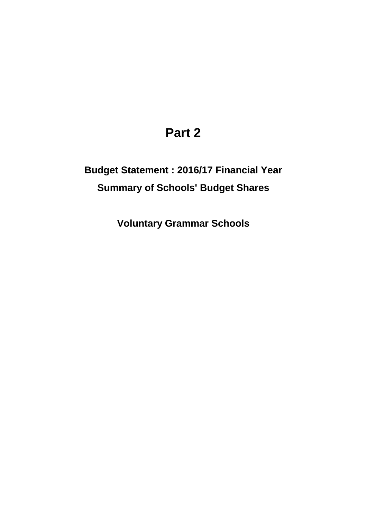## **Part 2**

## **Budget Statement : 2016/17 Financial Year Summary of Schools' Budget Shares**

**Voluntary Grammar Schools**